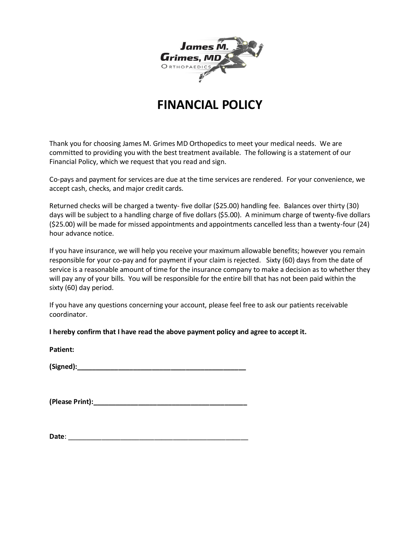

## **FINANCIAL POLICY**

Thank you for choosing James M. Grimes MD Orthopedics to meet your medical needs. We are committed to providing you with the best treatment available. The following is a statement of our Financial Policy, which we request that you read and sign.

Co-pays and payment for services are due at the time services are rendered. For your convenience, we accept cash, checks, and major credit cards.

Returned checks will be charged a twenty- five dollar (\$25.00) handling fee. Balances over thirty (30) days will be subject to a handling charge of five dollars (\$5.00). A minimum charge of twenty-five dollars (\$25.00) will be made for missed appointments and appointments cancelled less than a twenty-four (24) hour advance notice.

If you have insurance, we will help you receive your maximum allowable benefits; however you remain responsible for your co-pay and for payment if your claim is rejected. Sixty (60) days from the date of service is a reasonable amount of time for the insurance company to make a decision as to whether they will pay any of your bills. You will be responsible for the entire bill that has not been paid within the sixty (60) day period.

If you have any questions concerning your account, please feel free to ask our patients receivable coordinator.

**I hereby confirm that I have read the above payment policy and agree to accept it.**

**Patient:**

| (Signed): |  |  |  |
|-----------|--|--|--|
|           |  |  |  |

**(Please Print):\_\_\_\_\_\_\_\_\_\_\_\_\_\_\_\_\_\_\_\_\_\_\_\_\_\_\_\_\_\_\_\_\_\_\_\_\_\_\_\_\_**

**Date**: \_\_\_\_\_\_\_\_\_\_\_\_\_\_\_\_\_\_\_\_\_\_\_\_\_\_\_\_\_\_\_\_\_\_\_\_\_\_\_\_\_\_\_\_\_\_\_\_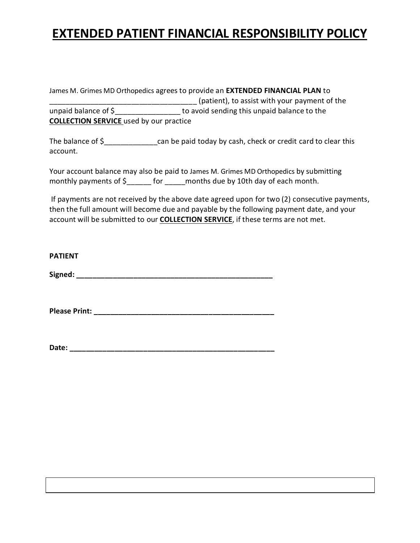## **EXTENDED PATIENT FINANCIAL RESPONSIBILITY POLICY**

James M. Grimes MD Orthopedics agrees to provide an **EXTENDED FINANCIAL PLAN** to \_\_\_\_\_\_\_\_\_\_\_\_\_\_\_\_\_\_\_\_\_\_\_\_\_\_\_\_\_\_\_\_\_\_\_\_ (patient), to assist with your payment of the unpaid balance of \$\_\_\_\_\_\_\_\_\_\_\_\_\_\_\_\_ to avoid sending this unpaid balance to the **COLLECTION SERVICE** used by our practice

The balance of \$ can be paid today by cash, check or credit card to clear this account.

Your account balance may also be paid to James M. Grimes MD Orthopedics by submitting monthly payments of  $\sin \theta$  for months due by 10th day of each month.

If payments are not received by the above date agreed upon for two (2) consecutive payments, then the full amount will become due and payable by the following payment date, and your account will be submitted to our **COLLECTION SERVICE**, if these terms are not met.

## **PATIENT**

**Signed: \_\_\_\_\_\_\_\_\_\_\_\_\_\_\_\_\_\_\_\_\_\_\_\_\_\_\_\_\_\_\_\_\_\_\_\_\_\_\_\_\_\_\_\_\_\_\_\_**

**Please Print: \_\_\_\_\_\_\_\_\_\_\_\_\_\_\_\_\_\_\_\_\_\_\_\_\_\_\_\_\_\_\_\_\_\_\_\_\_\_\_\_\_\_\_\_**

**Date: \_\_\_\_\_\_\_\_\_\_\_\_\_\_\_\_\_\_\_\_\_\_\_\_\_\_\_\_\_\_\_\_\_\_\_\_\_\_\_\_\_\_\_\_\_\_\_\_\_\_**